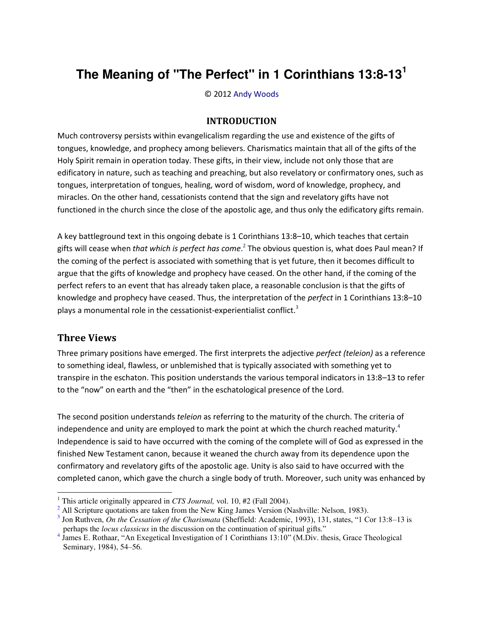# **The Meaning of "The Perfect" in 1 Corinthians 13:8-13<sup>1</sup>**

© 2012 [Andy Woods](http://www.spiritandtruth.org/id/aw.htm)

### **INTRODUCTION**

Much controversy persists within evangelicalism regarding the use and existence of the gifts of tongues, knowledge, and prophecy among believers. Charismatics maintain that all of the gifts of the Holy Spirit remain in operation today. These gifts, in their view, include not only those that are edificatory in nature, such as teaching and preaching, but also revelatory or confirmatory ones, such as tongues, interpretation of tongues, healing, word of wisdom, word of knowledge, prophecy, and miracles. On the other hand, cessationists contend that the sign and revelatory gifts have not functioned in the church since the close of the apostolic age, and thus only the edificatory gifts remain.

A key battleground text in this ongoing debate is 1 Corinthians 13:8–10, which teaches that certain gifts will cease when *that which is perfect has come*. 2 The obvious question is, what does Paul mean? If the coming of the perfect is associated with something that is yet future, then it becomes difficult to argue that the gifts of knowledge and prophecy have ceased. On the other hand, if the coming of the perfect refers to an event that has already taken place, a reasonable conclusion is that the gifts of knowledge and prophecy have ceased. Thus, the interpretation of the *perfect* in 1 Corinthians 13:8–10 plays a monumental role in the cessationist-experientialist conflict.<sup>3</sup>

## **Three Views**

l

Three primary positions have emerged. The first interprets the adjective *perfect (teleion)* as a reference to something ideal, flawless, or unblemished that is typically associated with something yet to transpire in the eschaton. This position understands the various temporal indicators in 13:8–13 to refer to the "now" on earth and the "then" in the eschatological presence of the Lord.

The second position understands *teleion* as referring to the maturity of the church. The criteria of independence and unity are employed to mark the point at which the church reached maturity.<sup>4</sup> Independence is said to have occurred with the coming of the complete will of God as expressed in the finished New Testament canon, because it weaned the church away from its dependence upon the confirmatory and revelatory gifts of the apostolic age. Unity is also said to have occurred with the completed canon, which gave the church a single body of truth. Moreover, such unity was enhanced by

 $2<sup>2</sup>$  All Scripture quotations are taken from the New King James Version (Nashville: Nelson, 1983).

<sup>&</sup>lt;sup>1</sup> This article originally appeared in *CTS Journal*, vol. 10, #2 (Fall 2004).

<sup>3</sup> Jon Ruthven, *On the Cessation of the Charismata* (Sheffield: Academic, 1993), 131, states, "1 Cor 13:8–13 is perhaps the *locus classicus* in the discussion on the continuation of spiritual gifts."

<sup>&</sup>lt;sup>4</sup> James E. Rothaar, "An Exegetical Investigation of 1 Corinthians 13:10" (M.Div. thesis, Grace Theological Seminary, 1984), 54–56.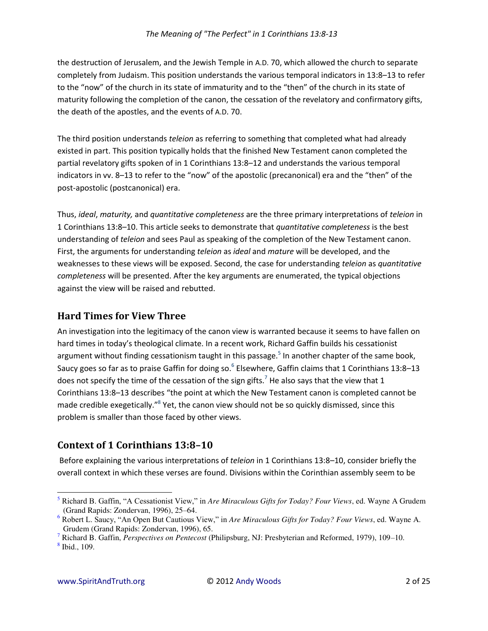the destruction of Jerusalem, and the Jewish Temple in A.D. 70, which allowed the church to separate completely from Judaism. This position understands the various temporal indicators in 13:8-13 to refer to the "now" of the church in its state of immaturity and to the "then" of the church in its state of maturity following the completion of the canon, the cessation of the revelatory and confirmatory gifts, the death of the apostles, and the events of A.D. 70.

The third position understands *teleion* as referring to something that completed what had already existed in part. This position typically holds that the finished New Testament canon completed the partial revelatory gifts spoken of in 1 Corinthians 13:8-12 and understands the various temporal indicators in vv. 8-13 to refer to the "now" of the apostolic (precanonical) era and the "then" of the post-apostolic (postcanonical) era.

Thus, ideal, maturity, and quantitative completeness are the three primary interpretations of teleion in 1 Corinthians 13:8-10. This article seeks to demonstrate that quantitative completeness is the best understanding of teleion and sees Paul as speaking of the completion of the New Testament canon. First, the arguments for understanding teleion as ideal and mature will be developed, and the weaknesses to these views will be exposed. Second, the case for understanding teleion as quantitative completeness will be presented. After the key arguments are enumerated, the typical objections against the view will be raised and rebutted.

# **Hard Times for View Three**

An investigation into the legitimacy of the canon view is warranted because it seems to have fallen on hard times in today's theological climate. In a recent work, Richard Gaffin builds his cessationist argument without finding cessationism taught in this passage.<sup>5</sup> In another chapter of the same book, Saucy goes so far as to praise Gaffin for doing so.<sup>6</sup> Elsewhere, Gaffin claims that 1 Corinthians 13:8-13 does not specify the time of the cessation of the sign gifts.<sup>7</sup> He also says that the view that 1 Corinthians 13:8-13 describes "the point at which the New Testament canon is completed cannot be made credible exegetically."<sup>8</sup> Yet, the canon view should not be so quickly dismissed, since this problem is smaller than those faced by other views.

# **Context of 1 Corinthians 13:8-10**

Before explaining the various interpretations of teleion in 1 Corinthians 13:8-10, consider briefly the overall context in which these verses are found. Divisions within the Corinthian assembly seem to be

<sup>&</sup>lt;sup>5</sup> Richard B. Gaffin, "A Cessationist View," in *Are Miraculous Gifts for Today? Four Views*, ed. Wayne A Grudem (Grand Rapids: Zondervan, 1996), 25-64.

 $6$  Robert L. Saucy, "An Open But Cautious View," in Are Miraculous Gifts for Today? Four Views, ed. Wayne A. Grudem (Grand Rapids: Zondervan, 1996), 65.

 $7$  Richard B. Gaffin, *Perspectives on Pentecost* (Philipsburg, NJ: Presbyterian and Reformed, 1979), 109-10.

 $8$  Ibid., 109.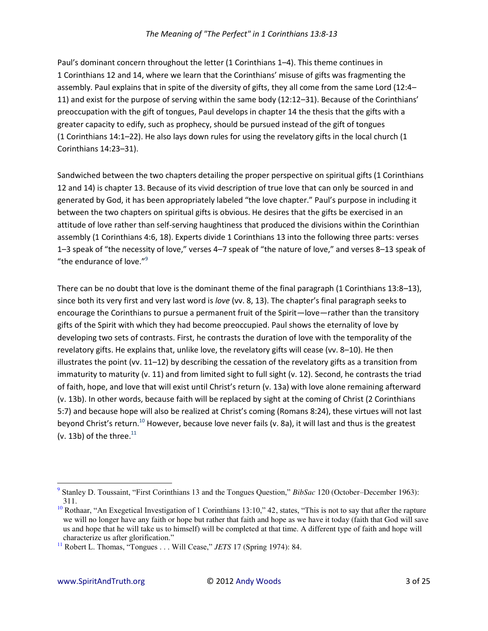#### *The Meaning of "The Perfect" in 1 Corinthians 13:8-13*

Paul's dominant concern throughout the letter (1 Corinthians 1–4). This theme continues in 1 Corinthians 12 and 14, where we learn that the Corinthians' misuse of gifts was fragmenting the assembly. Paul explains that in spite of the diversity of gifts, they all come from the same Lord (12:4– 11) and exist for the purpose of serving within the same body  $(12:12-31)$ . Because of the Corinthians' preoccupation with the gift of tongues, Paul develops in chapter 14 the thesis that the gifts with a greater capacity to edify, such as prophecy, should be pursued instead of the gift of tongues (1 Corinthians 14:1–22). He also lays down rules for using the revelatory gifts in the local church (1 Corinthians 14:23–31).

Sandwiched between the two chapters detailing the proper perspective on spiritual gifts (1 Corinthians 12 and 14) is chapter 13. Because of its vivid description of true love that can only be sourced in and generated by God, it has been appropriately labeled "the love chapter." Paul's purpose in including it between the two chapters on spiritual gifts is obvious. He desires that the gifts be exercised in an attitude of love rather than self-serving haughtiness that produced the divisions within the Corinthian assembly (1 Corinthians 4:6, 18). Experts divide 1 Corinthians 13 into the following three parts: verses 1-3 speak of "the necessity of love," verses 4-7 speak of "the nature of love," and verses 8-13 speak of "the endurance of love. $^{\prime\prime9}$ 

There can be no doubt that love is the dominant theme of the final paragraph (1 Corinthians 13:8–13), since both its very first and very last word is *love* (vv. 8, 13). The chapter's final paragraph seeks to encourage the Corinthians to pursue a permanent fruit of the Spirit—love—rather than the transitory gifts of the Spirit with which they had become preoccupied. Paul shows the eternality of love by developing two sets of contrasts. First, he contrasts the duration of love with the temporality of the revelatory gifts. He explains that, unlike love, the revelatory gifts will cease (vv. 8–10). He then illustrates the point (vv. 11–12) by describing the cessation of the revelatory gifts as a transition from immaturity to maturity (v. 11) and from limited sight to full sight (v. 12). Second, he contrasts the triad of faith, hope, and love that will exist until Christ's return (v. 13a) with love alone remaining afterward (v. 13b). In other words, because faith will be replaced by sight at the coming of Christ (2 Corinthians 5:7) and because hope will also be realized at Christ's coming (Romans 8:24), these virtues will not last beyond Christ's return.<sup>10</sup> However, because love never fails (v. 8a), it will last and thus is the greatest (v. 13b) of the three. $^{11}$ 

 $\overline{a}$ 

<sup>9</sup> Stanley D. Toussaint, "First Corinthians 13 and the Tongues Question," *BibSac* 120 (October–December 1963): 311.

 $10$  Rothaar, "An Exegetical Investigation of 1 Corinthians 13:10," 42, states, "This is not to say that after the rapture we will no longer have any faith or hope but rather that faith and hope as we have it today (faith that God will save us and hope that he will take us to himself) will be completed at that time. A different type of faith and hope will characterize us after glorification."

<sup>&</sup>lt;sup>11</sup> Robert L. Thomas, "Tongues . . . Will Cease," *JETS* 17 (Spring 1974): 84.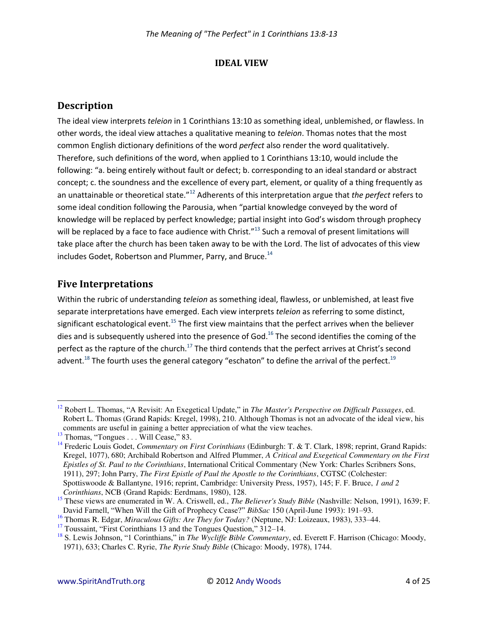## **IDEAL VIEW**

# **Description**

The ideal view interprets *teleion* in 1 Corinthians 13:10 as something ideal, unblemished, or flawless. In other words, the ideal view attaches a qualitative meaning to *teleion*. Thomas notes that the most common English dictionary definitions of the word *perfect* also render the word qualitatively. Therefore, such definitions of the word, when applied to 1 Corinthians 13:10, would include the following: "a. being entirely without fault or defect; b. corresponding to an ideal standard or abstract concept; c. the soundness and the excellence of every part, element, or quality of a thing frequently as an unattainable or theoretical state."<sup>12</sup> Adherents of this interpretation argue that the perfect refers to some ideal condition following the Parousia, when "partial knowledge conveyed by the word of knowledge will be replaced by perfect knowledge; partial insight into God's wisdom through prophecy will be replaced by a face to face audience with Christ."<sup>13</sup> Such a removal of present limitations will take place after the church has been taken away to be with the Lord. The list of advocates of this view includes Godet, Robertson and Plummer, Parry, and Bruce.<sup>14</sup>

## **Five Interpretations**

Within the rubric of understanding teleion as something ideal, flawless, or unblemished, at least five separate interpretations have emerged. Each view interprets teleion as referring to some distinct, significant eschatological event.<sup>15</sup> The first view maintains that the perfect arrives when the believer dies and is subsequently ushered into the presence of God.<sup>16</sup> The second identifies the coming of the perfect as the rapture of the church.<sup>17</sup> The third contends that the perfect arrives at Christ's second advent.<sup>18</sup> The fourth uses the general category "eschaton" to define the arrival of the perfect.<sup>19</sup>

 $12$  Robert L. Thomas, "A Revisit: An Exegetical Update," in The Master's Perspective on Difficult Passages, ed. Robert L. Thomas (Grand Rapids: Kregel, 1998), 210. Although Thomas is not an advocate of the ideal view, his comments are useful in gaining a better appreciation of what the view teaches.

<sup>&</sup>lt;sup>13</sup> Thomas, "Tongues . . . Will Cease," 83.

<sup>&</sup>lt;sup>14</sup> Frederic Louis Godet, *Commentary on First Corinthians* (Edinburgh: T. & T. Clark, 1898; reprint, Grand Rapids: Kregel, 1077), 680; Archibald Robertson and Alfred Plummer, A Critical and Exegetical Commentary on the First Epistles of St. Paul to the Corinthians, International Critical Commentary (New York: Charles Scribners Sons, 1911), 297; John Parry, The First Epistle of Paul the Apostle to the Corinthians, CGTSC (Colchester: Spottiswoode & Ballantyne, 1916; reprint, Cambridge: University Press, 1957), 145; F. F. Bruce, 1 and 2 Corinthians, NCB (Grand Rapids: Eerdmans, 1980), 128.

<sup>&</sup>lt;sup>15</sup> These views are enumerated in W. A. Criswell, ed., *The Believer's Study Bible* (Nashville: Nelson, 1991), 1639; F. David Farnell, "When Will the Gift of Prophecy Cease?" BibSac 150 (April-June 1993): 191-93.

<sup>&</sup>lt;sup>16</sup> Thomas R. Edgar, Miraculous Gifts: Are They for Today? (Neptune, NJ: Loizeaux, 1983), 333-44.

 $17$  Toussaint, "First Corinthians 13 and the Tongues Question," 312–14.

<sup>&</sup>lt;sup>18</sup> S. Lewis Johnson, "1 Corinthians," in *The Wycliffe Bible Commentary*, ed. Everett F. Harrison (Chicago: Moody, 1971), 633; Charles C. Ryrie, The Ryrie Study Bible (Chicago: Moody, 1978), 1744.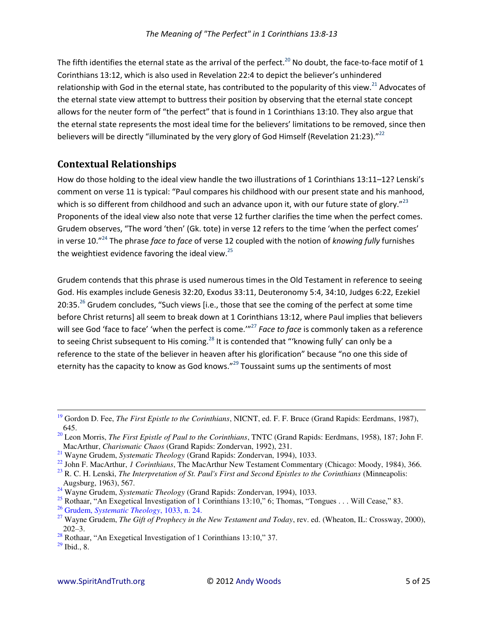The fifth identifies the eternal state as the arrival of the perfect.<sup>20</sup> No doubt, the face-to-face motif of 1 Corinthians 13:12, which is also used in Revelation 22:4 to depict the believer's unhindered relationship with God in the eternal state, has contributed to the popularity of this view.<sup>21</sup> Advocates of the eternal state view attempt to buttress their position by observing that the eternal state concept allows for the neuter form of "the perfect" that is found in 1 Corinthians 13:10. They also argue that the eternal state represents the most ideal time for the believers' limitations to be removed, since then believers will be directly "illuminated by the very glory of God Himself (Revelation 21:23)."22

# **Contextual Relationships**

How do those holding to the ideal view handle the two illustrations of 1 Corinthians 13:11-12? Lenski's comment on verse 11 is typical: "Paul compares his childhood with our present state and his manhood, which is so different from childhood and such an advance upon it, with our future state of glory."<sup>23</sup> Proponents of the ideal view also note that verse 12 further clarifies the time when the perfect comes. Grudem observes, "The word 'then' (Gk. tote) in verse 12 refers to the time 'when the perfect comes' in verse 10."<sup>24</sup> The phrase face to face of verse 12 coupled with the notion of knowing fully furnishes the weightiest evidence favoring the ideal view.<sup>25</sup>

Grudem contends that this phrase is used numerous times in the Old Testament in reference to seeing God. His examples include Genesis 32:20, Exodus 33:11, Deuteronomy 5:4, 34:10, Judges 6:22, Ezekiel 20:35.<sup>26</sup> Grudem concludes, "Such views [i.e., those that see the coming of the perfect at some time before Christ returns] all seem to break down at 1 Corinthians 13:12, where Paul implies that believers will see God 'face to face' 'when the perfect is come."<sup>27</sup> Face to face is commonly taken as a reference to seeing Christ subsequent to His coming.<sup>28</sup> It is contended that "'knowing fully' can only be a reference to the state of the believer in heaven after his glorification" because "no one this side of eternity has the capacity to know as God knows."<sup>29</sup> Toussaint sums up the sentiments of most

<sup>26</sup> Grudem, *Systematic Theology*, 1033, n. 24.

<sup>&</sup>lt;sup>19</sup> Gordon D. Fee, *The First Epistle to the Corinthians*, NICNT, ed. F. F. Bruce (Grand Rapids: Eerdmans, 1987), 645.

 $^{20}$  Leon Morris, *The First Epistle of Paul to the Corinthians*, TNTC (Grand Rapids: Eerdmans, 1958), 187; John F. MacArthur, Charismatic Chaos (Grand Rapids: Zondervan, 1992), 231.

<sup>&</sup>lt;sup>21</sup> Wayne Grudem, Systematic Theology (Grand Rapids: Zondervan, 1994), 1033.

 $^{22}$  John F. MacArthur, *1 Corinthians*, The MacArthur New Testament Commentary (Chicago: Moody, 1984), 366.

 $^{23}$  R. C. H. Lenski, The Interpretation of St. Paul's First and Second Epistles to the Corinthians (Minneapolis: Augsburg, 1963), 567.

<sup>&</sup>lt;sup>24</sup> Wavne Grudem, *Systematic Theology* (Grand Rapids: Zondervan, 1994), 1033.

<sup>&</sup>lt;sup>25</sup> Rothaar, "An Exegetical Investigation of 1 Corinthians 13:10," 6; Thomas, "Tongues . . . Will Cease," 83.

<sup>&</sup>lt;sup>27</sup> Wayne Grudem, *The Gift of Prophecy in the New Testament and Today*, rev. ed. (Wheaton, IL: Crossway, 2000),  $202 - 3.$ 

<sup>&</sup>lt;sup>28</sup> Rothaar, "An Exegetical Investigation of 1 Corinthians 13:10," 37.

 $29$  Ibid., 8.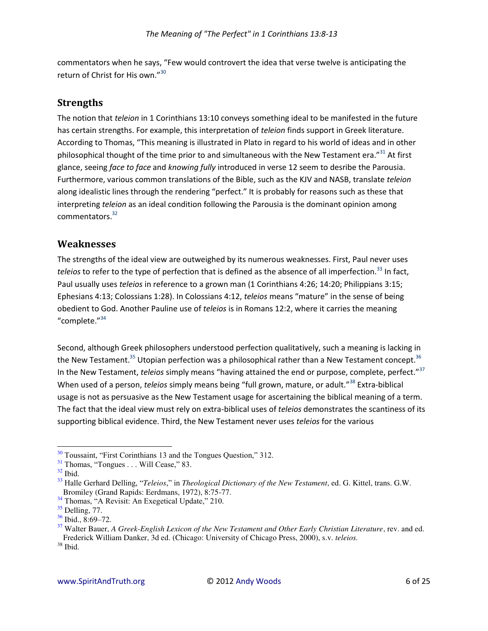commentators when he says, "Few would controvert the idea that verse twelve is anticipating the return of Christ for His own."30

## **Strengths**

The notion that teleion in 1 Corinthians 13:10 conveys something ideal to be manifested in the future has certain strengths. For example, this interpretation of teleion finds support in Greek literature. According to Thomas, "This meaning is illustrated in Plato in regard to his world of ideas and in other philosophical thought of the time prior to and simultaneous with the New Testament era."<sup>31</sup> At first glance, seeing face to face and knowing fully introduced in verse 12 seem to desribe the Parousia. Furthermore, various common translations of the Bible, such as the KJV and NASB, translate teleion along idealistic lines through the rendering "perfect." It is probably for reasons such as these that interpreting *teleion* as an ideal condition following the Parousia is the dominant opinion among commentators.<sup>32</sup>

## **Weaknesses**

The strengths of the ideal view are outweighed by its numerous weaknesses. First, Paul never uses teleios to refer to the type of perfection that is defined as the absence of all imperfection.<sup>33</sup> In fact, Paul usually uses teleios in reference to a grown man (1 Corinthians 4:26; 14:20; Philippians 3:15; Ephesians 4:13; Colossians 1:28). In Colossians 4:12, teleios means "mature" in the sense of being obedient to God. Another Pauline use of teleios is in Romans 12:2, where it carries the meaning "complete."34

Second, although Greek philosophers understood perfection qualitatively, such a meaning is lacking in the New Testament.<sup>35</sup> Utopian perfection was a philosophical rather than a New Testament concept.<sup>36</sup> In the New Testament, *teleios* simply means "having attained the end or purpose, complete, perfect."<sup>37</sup> When used of a person, teleios simply means being "full grown, mature, or adult."<sup>38</sup> Extra-biblical usage is not as persuasive as the New Testament usage for ascertaining the biblical meaning of a term. The fact that the ideal view must rely on extra-biblical uses of teleios demonstrates the scantiness of its supporting biblical evidence. Third, the New Testament never uses teleios for the various

 $30$  Toussaint, "First Corinthians 13 and the Tongues Question," 312.

 $31$  Thomas, "Tongues ... Will Cease," 83.

 $32$  Ibid.

<sup>&</sup>lt;sup>33</sup> Halle Gerhard Delling, "Teleios," in Theological Dictionary of the New Testament, ed. G. Kittel, trans. G.W. Bromiley (Grand Rapids: Eerdmans, 1972), 8:75-77.

<sup>&</sup>lt;sup>34</sup> Thomas, "A Revisit: An Exegetical Update," 210.

 $35$  Delling, 77.

 $36$  Ibid., 8:69-72.

 $37$  Walter Bauer, A Greek-English Lexicon of the New Testament and Other Early Christian Literature, rev. and ed. Frederick William Danker, 3d ed. (Chicago: University of Chicago Press, 2000), s.v. teleios.

 $^{\rm 38}$  Ibid.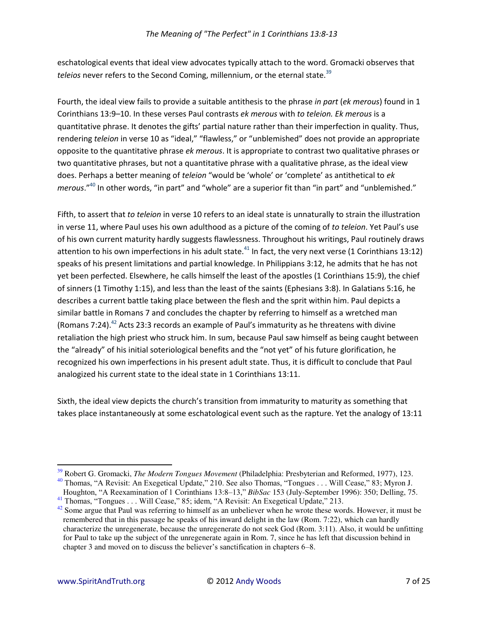eschatological events that ideal view advocates typically attach to the word. Gromacki observes that *teleios* never refers to the Second Coming, millennium, or the eternal state.<sup>39</sup>

Fourth, the ideal view fails to provide a suitable antithesis to the phrase *in part* (*ek merous*) found in 1 Corinthians 13:9–10. In these verses Paul contrasts *ek merous* with *to teleion. Ek merous* is a quantitative phrase. It denotes the gifts' partial nature rather than their imperfection in quality. Thus, rendering *teleion* in verse 10 as "ideal," "flawless," or "unblemished" does not provide an appropriate opposite to the quantitative phrase *ek merous*. It is appropriate to contrast two qualitative phrases or two quantitative phrases, but not a quantitative phrase with a qualitative phrase, as the ideal view does. Perhaps a better meaning of *teleion* "would be 'whole' or 'complete' as antithetical to *ek merous*.<sup>"40</sup> In other words, "in part" and "whole" are a superior fit than "in part" and "unblemished."

Fifth, to assert that *to teleion* in verse 10 refers to an ideal state is unnaturally to strain the illustration in verse 11, where Paul uses his own adulthood as a picture of the coming of to teleion. Yet Paul's use of his own current maturity hardly suggests flawlessness. Throughout his writings, Paul routinely draws attention to his own imperfections in his adult state. $41$  In fact, the very next verse (1 Corinthians 13:12) speaks of his present limitations and partial knowledge. In Philippians 3:12, he admits that he has not yet been perfected. Elsewhere, he calls himself the least of the apostles (1 Corinthians 15:9), the chief of sinners (1 Timothy 1:15), and less than the least of the saints (Ephesians 3:8). In Galatians 5:16, he describes a current battle taking place between the flesh and the sprit within him. Paul depicts a similar battle in Romans 7 and concludes the chapter by referring to himself as a wretched man (Romans 7:24).<sup>42</sup> Acts 23:3 records an example of Paul's immaturity as he threatens with divine retaliation the high priest who struck him. In sum, because Paul saw himself as being caught between the "already" of his initial soteriological benefits and the "not yet" of his future glorification, he recognized his own imperfections in his present adult state. Thus, it is difficult to conclude that Paul analogized his current state to the ideal state in 1 Corinthians 13:11.

Sixth, the ideal view depicts the church's transition from immaturity to maturity as something that takes place instantaneously at some eschatological event such as the rapture. Yet the analogy of 13:11

 $\overline{a}$ 

<sup>39</sup> Robert G. Gromacki, *The Modern Tongues Movement* (Philadelphia: Presbyterian and Reformed, 1977), 123. <sup>40</sup> Thomas, "A Revisit: An Exegetical Update," 210. See also Thomas, "Tongues . . . Will Cease," 83; Myron J.

Houghton, "A Reexamination of 1 Corinthians 13:8–13," *BibSac* 153 (July-September 1996): 350; Delling, 75. <sup>41</sup> Thomas, "Tongues . . . Will Cease," 85; idem, "A Revisit: An Exegetical Update," 213.

 $42$  Some argue that Paul was referring to himself as an unbeliever when he wrote these words. However, it must be remembered that in this passage he speaks of his inward delight in the law (Rom. 7:22), which can hardly characterize the unregenerate, because the unregenerate do not seek God (Rom. 3:11). Also, it would be unfitting for Paul to take up the subject of the unregenerate again in Rom. 7, since he has left that discussion behind in chapter 3 and moved on to discuss the believer's sanctification in chapters 6–8.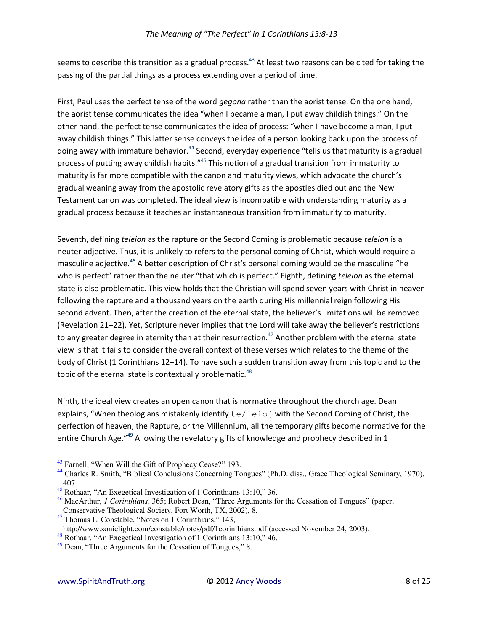seems to describe this transition as a gradual process.<sup>43</sup> At least two reasons can be cited for taking the passing of the partial things as a process extending over a period of time.

First, Paul uses the perfect tense of the word *gegona* rather than the aorist tense. On the one hand, the aorist tense communicates the idea "when I became a man, I put away childish things." On the other hand, the perfect tense communicates the idea of process: "when I have become a man, I put away childish things." This latter sense conveys the idea of a person looking back upon the process of doing away with immature behavior.<sup>44</sup> Second, everyday experience "tells us that maturity is a gradual process of putting away childish habits."<sup>45</sup> This notion of a gradual transition from immaturity to maturity is far more compatible with the canon and maturity views, which advocate the church's gradual weaning away from the apostolic revelatory gifts as the apostles died out and the New Testament canon was completed. The ideal view is incompatible with understanding maturity as a gradual process because it teaches an instantaneous transition from immaturity to maturity.

Seventh, defining teleion as the rapture or the Second Coming is problematic because teleion is a neuter adjective. Thus, it is unlikely to refers to the personal coming of Christ, which would require a masculine adjective.<sup>46</sup> A better description of Christ's personal coming would be the masculine "he who is perfect" rather than the neuter "that which is perfect." Eighth, defining teleion as the eternal state is also problematic. This view holds that the Christian will spend seven years with Christ in heaven following the rapture and a thousand years on the earth during His millennial reign following His second advent. Then, after the creation of the eternal state, the believer's limitations will be removed (Revelation 21-22). Yet, Scripture never implies that the Lord will take away the believer's restrictions to any greater degree in eternity than at their resurrection.<sup>47</sup> Another problem with the eternal state view is that it fails to consider the overall context of these verses which relates to the theme of the body of Christ (1 Corinthians 12–14). To have such a sudden transition away from this topic and to the topic of the eternal state is contextually problematic.<sup>48</sup>

Ninth, the ideal view creates an open canon that is normative throughout the church age. Dean explains, "When theologians mistakenly identify  $te/le$ i $\circ$  with the Second Coming of Christ, the perfection of heaven, the Rapture, or the Millennium, all the temporary gifts become normative for the entire Church Age."<sup>49</sup> Allowing the revelatory gifts of knowledge and prophecy described in 1

<sup>&</sup>lt;sup>43</sup> Farnell, "When Will the Gift of Prophecy Cease?" 193.

<sup>&</sup>lt;sup>44</sup> Charles R. Smith, "Biblical Conclusions Concerning Tongues" (Ph.D. diss., Grace Theological Seminary, 1970),

 $45$  Rothaar, "An Exegetical Investigation of 1 Corinthians 13:10," 36.

<sup>&</sup>lt;sup>46</sup> MacArthur, *1 Corinthians*, 365; Robert Dean, "Three Arguments for the Cessation of Tongues" (paper, Conservative Theological Society, Fort Worth, TX, 2002), 8.

<sup>&</sup>lt;sup>47</sup> Thomas L. Constable, "Notes on 1 Corinthians," 143,

http://www.soniclight.com/constable/notes/pdf/1corinthians.pdf (accessed November 24, 2003).

 $48$  Rothaar, "An Exegetical Investigation of 1 Corinthians 13:10," 46.

<sup>&</sup>lt;sup>49</sup> Dean, "Three Arguments for the Cessation of Tongues," 8.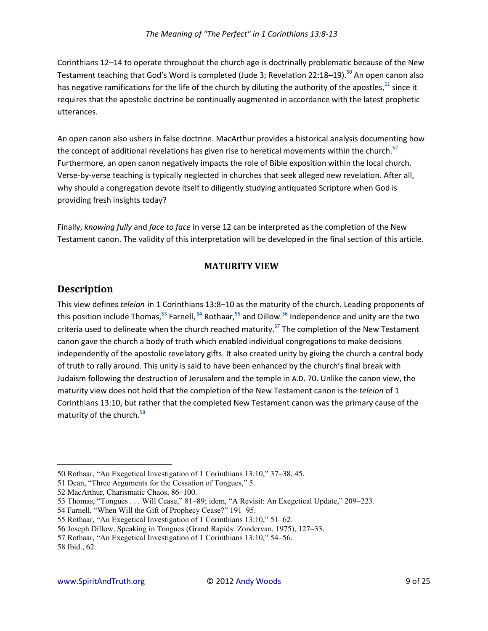Corinthians 12–14 to operate throughout the church age is doctrinally problematic because of the New Testament teaching that God's Word is completed (Jude 3; Revelation 22:18–19).<sup>50</sup> An open canon also has negative ramifications for the life of the church by diluting the authority of the apostles,  $51$  since it requires that the apostolic doctrine be continually augmented in accordance with the latest prophetic utterances.

An open canon also ushers in false doctrine. MacArthur provides a historical analysis documenting how the concept of additional revelations has given rise to heretical movements within the church.<sup>52</sup> Furthermore, an open canon negatively impacts the role of Bible exposition within the local church. Verse-by-verse teaching is typically neglected in churches that seek alleged new revelation. After all, why should a congregation devote itself to diligently studying antiquated Scripture when God is providing fresh insights today?

Finally, *knowing fully* and *face to face* in verse 12 can be interpreted as the completion of the New Testament canon. The validity of this interpretation will be developed in the final section of this article.

## **MATURITY VIEW**

## **Description**

This view defines *teleion* in 1 Corinthians 13:8–10 as the maturity of the church. Leading proponents of this position include Thomas,<sup>53</sup> Farnell,  $54$  Rothaar,  $55$  and Dillow.<sup>56</sup> Independence and unity are the two criteria used to delineate when the church reached maturity.<sup>57</sup> The completion of the New Testament canon gave the church a body of truth which enabled individual congregations to make decisions independently of the apostolic revelatory gifts. It also created unity by giving the church a central body of truth to rally around. This unity is said to have been enhanced by the church's final break with Judaism following the destruction of Jerusalem and the temple in A.D. 70. Unlike the canon view, the maturity view does not hold that the completion of the New Testament canon is the *teleion* of 1 Corinthians 13:10, but rather that the completed New Testament canon was the primary cause of the maturity of the church.<sup>58</sup>

 $\overline{a}$ 

<sup>50</sup> Rothaar, "An Exegetical Investigation of 1 Corinthians 13:10," 37–38, 45.

<sup>51</sup> Dean, "Three Arguments for the Cessation of Tongues," 5.

<sup>52</sup> MacArthur, Charismatic Chaos, 86–100.

<sup>53</sup> Thomas, "Tongues . . . Will Cease," 81–89; idem, "A Revisit: An Exegetical Update," 209–223.

<sup>54</sup> Farnell, "When Will the Gift of Prophecy Cease?" 191–95.

<sup>55</sup> Rothaar, "An Exegetical Investigation of 1 Corinthians 13:10," 51–62.

<sup>56</sup> Joseph Dillow, Speaking in Tongues (Grand Rapids: Zondervan, 1975), 127–33.

<sup>57</sup> Rothaar, "An Exegetical Investigation of 1 Corinthians 13:10," 54–56.

<sup>58</sup> Ibid., 62.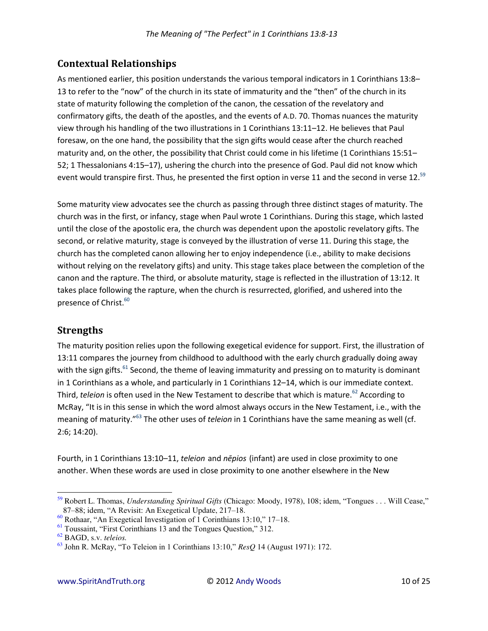# **Contextual Relationships**

As mentioned earlier, this position understands the various temporal indicators in 1 Corinthians 13:8– 13 to refer to the "now" of the church in its state of immaturity and the "then" of the church in its state of maturity following the completion of the canon, the cessation of the revelatory and confirmatory gifts, the death of the apostles, and the events of A.D. 70. Thomas nuances the maturity view through his handling of the two illustrations in 1 Corinthians 13:11–12. He believes that Paul foresaw, on the one hand, the possibility that the sign gifts would cease after the church reached maturity and, on the other, the possibility that Christ could come in his lifetime (1 Corinthians 15:51– 52; 1 Thessalonians 4:15–17), ushering the church into the presence of God. Paul did not know which event would transpire first. Thus, he presented the first option in verse 11 and the second in verse 12.<sup>59</sup>

Some maturity view advocates see the church as passing through three distinct stages of maturity. The church was in the first, or infancy, stage when Paul wrote 1 Corinthians. During this stage, which lasted until the close of the apostolic era, the church was dependent upon the apostolic revelatory gifts. The second, or relative maturity, stage is conveyed by the illustration of verse 11. During this stage, the church has the completed canon allowing her to enjoy independence (i.e., ability to make decisions without relying on the revelatory gifts) and unity. This stage takes place between the completion of the canon and the rapture. The third, or absolute maturity, stage is reflected in the illustration of 13:12. It takes place following the rapture, when the church is resurrected, glorified, and ushered into the presence of Christ. $^{60}$ 

# **Strengths**

The maturity position relies upon the following exegetical evidence for support. First, the illustration of 13:11 compares the journey from childhood to adulthood with the early church gradually doing away with the sign gifts.<sup>61</sup> Second, the theme of leaving immaturity and pressing on to maturity is dominant in 1 Corinthians as a whole, and particularly in 1 Corinthians 12–14, which is our immediate context. Third, *teleion* is often used in the New Testament to describe that which is mature.<sup>62</sup> According to McRay, "It is in this sense in which the word almost always occurs in the New Testament, i.e., with the meaning of maturity.<sup>163</sup> The other uses of *teleion* in 1 Corinthians have the same meaning as well (cf. 2:6; 14:20).

Fourth, in 1 Corinthians 13:10–11, *teleion* and *nēpios* (infant) are used in close proximity to one another. When these words are used in close proximity to one another elsewhere in the New

l <sup>59</sup> Robert L. Thomas, *Understanding Spiritual Gifts* (Chicago: Moody, 1978), 108; idem, "Tongues . . . Will Cease," 87–88; idem, "A Revisit: An Exegetical Update, 217–18.

<sup>60</sup> Rothaar, "An Exegetical Investigation of 1 Corinthians 13:10," 17–18.

<sup>61</sup> Toussaint, "First Corinthians 13 and the Tongues Question," 312.

<sup>62</sup> BAGD, s.v. *teleios.*

<sup>63</sup> John R. McRay, "To Teleion in 1 Corinthians 13:10," *ResQ* 14 (August 1971): 172.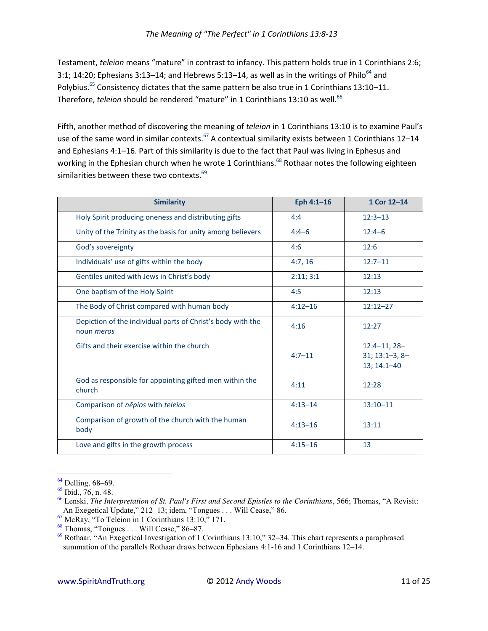Testament, *teleion* means "mature" in contrast to infancy. This pattern holds true in 1 Corinthians 2:6; 3:1; 14:20; Ephesians 3:13–14; and Hebrews 5:13–14, as well as in the writings of Philo<sup>64</sup> and Polybius.<sup>65</sup> Consistency dictates that the same pattern be also true in 1 Corinthians 13:10-11. Therefore, *teleion* should be rendered "mature" in 1 Corinthians 13:10 as well.<sup>66</sup>

Fifth, another method of discovering the meaning of *teleion* in 1 Corinthians 13:10 is to examine Paul's use of the same word in similar contexts.<sup>67</sup> A contextual similarity exists between 1 Corinthians 12-14 and Ephesians 4:1–16. Part of this similarity is due to the fact that Paul was living in Ephesus and working in the Ephesian church when he wrote 1 Corinthians.<sup>68</sup> Rothaar notes the following eighteen similarities between these two contexts.<sup>69</sup>

| <b>Similarity</b>                                                                | Eph 4:1-16  | 1 Cor 12-14                                          |
|----------------------------------------------------------------------------------|-------------|------------------------------------------------------|
| Holy Spirit producing oneness and distributing gifts                             | 4:4         | $12:3 - 13$                                          |
| Unity of the Trinity as the basis for unity among believers                      | $4:4-6$     | $12:4-6$                                             |
| God's sovereignty                                                                | 4:6         | 12:6                                                 |
| Individuals' use of gifts within the body                                        | 4:7,16      | $12:7 - 11$                                          |
| Gentiles united with Jews in Christ's body                                       | 2:11;3:1    | 12:13                                                |
| One baptism of the Holy Spirit                                                   | 4:5         | 12:13                                                |
| The Body of Christ compared with human body                                      | $4:12 - 16$ | $12:12 - 27$                                         |
| Depiction of the individual parts of Christ's body with the<br>noun <i>meros</i> | 4:16        | 12:27                                                |
| Gifts and their exercise within the church                                       | $4:7 - 11$  | $12:4 - 11, 28 -$<br>$31; 13:1-3, 8-$<br>13; 14:1-40 |
| God as responsible for appointing gifted men within the<br>church                | 4:11        | 12:28                                                |
| Comparison of nepios with teleios                                                | $4:13 - 14$ | $13:10 - 11$                                         |
| Comparison of growth of the church with the human<br>body                        | $4:13 - 16$ | 13:11                                                |
| Love and gifts in the growth process                                             | $4:15 - 16$ | 13                                                   |

 $\overline{a}$  $64$  Delling,  $68-69$ .

 $\frac{65}{65}$  Ibid., 76, n. 48.

<sup>66</sup> Lenski, *The Interpretation of St. Paul's First and Second Epistles to the Corinthians*, 566; Thomas, "A Revisit: An Exegetical Update," 212–13; idem, "Tongues . . . Will Cease," 86.

<sup>67</sup> McRay, "To Teleion in 1 Corinthians 13:10," 171.

<sup>68</sup> Thomas, "Tongues . . . Will Cease," 86–87.

 $69$  Rothaar, "An Exegetical Investigation of 1 Corinthians 13:10," 32–34. This chart represents a paraphrased summation of the parallels Rothaar draws between Ephesians 4:1-16 and 1 Corinthians 12–14.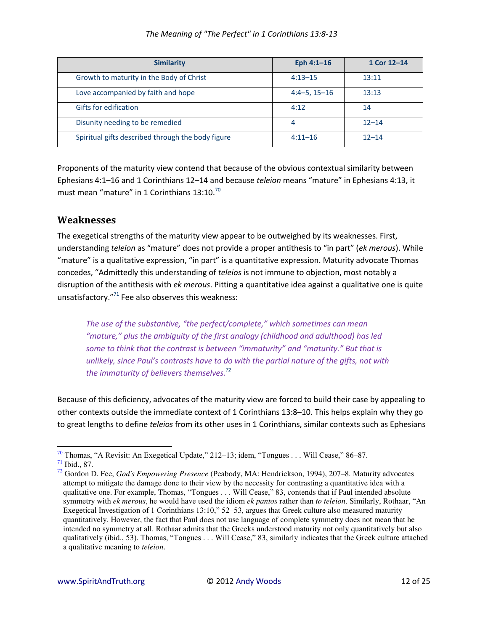| <b>Similarity</b>                                 | Eph $4:1-16$   | 1 Cor 12-14 |
|---------------------------------------------------|----------------|-------------|
| Growth to maturity in the Body of Christ          | $4:13 - 15$    | 13:11       |
| Love accompanied by faith and hope                | $4:4-5, 15-16$ | 13:13       |
| <b>Gifts for edification</b>                      | 4:12           | 14          |
| Disunity needing to be remedied                   | 4              | $12 - 14$   |
| Spiritual gifts described through the body figure | $4:11 - 16$    | $12 - 14$   |

Proponents of the maturity view contend that because of the obvious contextual similarity between Ephesians 4:1-16 and 1 Corinthians 12-14 and because teleion means "mature" in Ephesians 4:13, it must mean "mature" in 1 Corinthians  $13:10^{70}$ 

## **Weaknesses**

The exegetical strengths of the maturity view appear to be outweighed by its weaknesses. First, understanding teleion as "mature" does not provide a proper antithesis to "in part" (ek merous). While "mature" is a qualitative expression, "in part" is a quantitative expression. Maturity advocate Thomas concedes, "Admittedly this understanding of teleios is not immune to objection, most notably a disruption of the antithesis with ek merous. Pitting a quantitative idea against a qualitative one is quite unsatisfactory. $"^{71}$  Fee also observes this weakness:

The use of the substantive, "the perfect/complete," which sometimes can mean "mature," plus the ambiguity of the first analogy (childhood and adulthood) has led some to think that the contrast is between "immaturity" and "maturity." But that is unlikely, since Paul's contrasts have to do with the partial nature of the gifts, not with the immaturity of believers themselves.<sup>72</sup>

Because of this deficiency, advocates of the maturity view are forced to build their case by appealing to other contexts outside the immediate context of 1 Corinthians 13:8-10. This helps explain why they go to great lengths to define *teleios* from its other uses in 1 Corinthians, similar contexts such as Ephesians

 $\frac{70}{10}$  Thomas, "A Revisit: An Exegetical Update," 212–13; idem, "Tongues . . . Will Cease," 86–87.

 $71$  Ibid., 87.

<sup>&</sup>lt;sup>72</sup> Gordon D. Fee, *God's Empowering Presence* (Peabody, MA: Hendrickson, 1994), 207–8. Maturity advocates attempt to mitigate the damage done to their view by the necessity for contrasting a quantitative idea with a qualitative one. For example, Thomas, "Tongues . . . Will Cease," 83, contends that if Paul intended absolute symmetry with ek merous, he would have used the idiom ek pantos rather than to teleion. Similarly, Rothaar, "An Exegetical Investigation of 1 Corinthians 13:10," 52–53, argues that Greek culture also measured maturity quantitatively. However, the fact that Paul does not use language of complete symmetry does not mean that he intended no symmetry at all. Rothaar admits that the Greeks understood maturity not only quantitatively but also qualitatively (ibid., 53). Thomas, "Tongues . . . Will Cease," 83, similarly indicates that the Greek culture attached a qualitative meaning to *teleion*.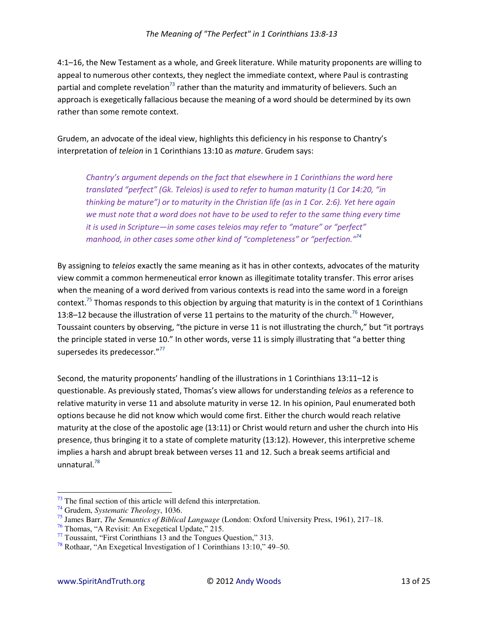4:1-16, the New Testament as a whole, and Greek literature. While maturity proponents are willing to appeal to numerous other contexts, they neglect the immediate context, where Paul is contrasting partial and complete revelation<sup>73</sup> rather than the maturity and immaturity of believers. Such an approach is exegetically fallacious because the meaning of a word should be determined by its own rather than some remote context.

Grudem, an advocate of the ideal view, highlights this deficiency in his response to Chantry's interpretation of teleion in 1 Corinthians 13:10 as mature. Grudem says:

Chantry's argument depends on the fact that elsewhere in 1 Corinthians the word here translated "perfect" (Gk. Teleios) is used to refer to human maturity (1 Cor 14:20, "in thinking be mature") or to maturity in the Christian life (as in 1 Cor. 2:6). Yet here again we must note that a word does not have to be used to refer to the same thing every time it is used in Scripture—in some cases teleios may refer to "mature" or "perfect" manhood, in other cases some other kind of "completeness" or "perfection."<sup>74</sup>

By assigning to teleios exactly the same meaning as it has in other contexts, advocates of the maturity view commit a common hermeneutical error known as illegitimate totality transfer. This error arises when the meaning of a word derived from various contexts is read into the same word in a foreign context.<sup>75</sup> Thomas responds to this objection by arguing that maturity is in the context of 1 Corinthians 13:8–12 because the illustration of verse 11 pertains to the maturity of the church.<sup>76</sup> However, Toussaint counters by observing, "the picture in verse 11 is not illustrating the church," but "it portrays the principle stated in verse 10." In other words, verse 11 is simply illustrating that "a better thing supersedes its predecessor."77

Second, the maturity proponents' handling of the illustrations in 1 Corinthians 13:11-12 is questionable. As previously stated, Thomas's view allows for understanding teleios as a reference to relative maturity in verse 11 and absolute maturity in verse 12. In his opinion, Paul enumerated both options because he did not know which would come first. Either the church would reach relative maturity at the close of the apostolic age (13:11) or Christ would return and usher the church into His presence, thus bringing it to a state of complete maturity (13:12). However, this interpretive scheme implies a harsh and abrupt break between verses 11 and 12. Such a break seems artificial and unnatural. $^{78}$ 

 $\frac{73}{12}$  The final section of this article will defend this interpretation.

<sup>&</sup>lt;sup>74</sup> Grudem, *Systematic Theology*, 1036.

<sup>&</sup>lt;sup>75</sup> James Barr, *The Semantics of Biblical Language* (London: Oxford University Press, 1961), 217–18.

 $\frac{76}{10}$  Thomas, "A Revisit: An Exegetical Update," 215.

 $\frac{77}{10}$  Toussaint, "First Corinthians 13 and the Tongues Question," 313.

 $\frac{78}{18}$  Rothaar, "An Exegetical Investigation of 1 Corinthians 13:10," 49–50.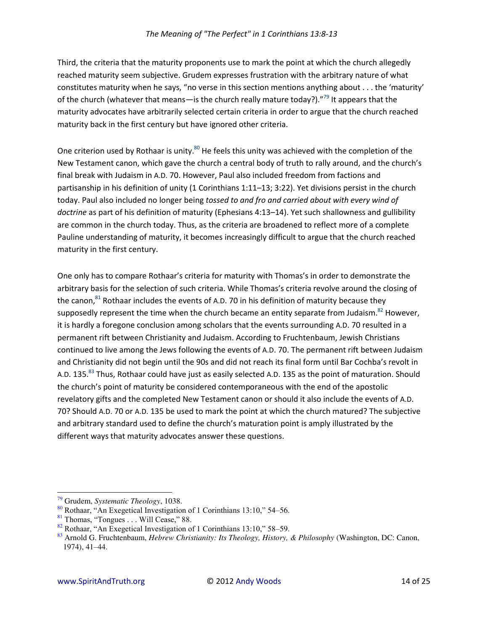Third, the criteria that the maturity proponents use to mark the point at which the church allegedly reached maturity seem subjective. Grudem expresses frustration with the arbitrary nature of what constitutes maturity when he says, "no verse in this section mentions anything about . . . the 'maturity' of the church (whatever that means—is the church really mature today?). $^{79}$  It appears that the maturity advocates have arbitrarily selected certain criteria in order to argue that the church reached maturity back in the first century but have ignored other criteria.

One criterion used by Rothaar is unity.<sup>80</sup> He feels this unity was achieved with the completion of the New Testament canon, which gave the church a central body of truth to rally around, and the church's final break with Judaism in A.D. 70. However, Paul also included freedom from factions and partisanship in his definition of unity (1 Corinthians 1:11–13; 3:22). Yet divisions persist in the church today. Paul also included no longer being *tossed to and fro and carried about with every wind of doctrine* as part of his definition of maturity (Ephesians 4:13–14). Yet such shallowness and gullibility are common in the church today. Thus, as the criteria are broadened to reflect more of a complete Pauline understanding of maturity, it becomes increasingly difficult to argue that the church reached maturity in the first century.

One only has to compare Rothaar's criteria for maturity with Thomas's in order to demonstrate the arbitrary basis for the selection of such criteria. While Thomas's criteria revolve around the closing of the canon, $81$  Rothaar includes the events of A.D. 70 in his definition of maturity because they supposedly represent the time when the church became an entity separate from Judaism.<sup>82</sup> However, it is hardly a foregone conclusion among scholars that the events surrounding A.D. 70 resulted in a permanent rift between Christianity and Judaism. According to Fruchtenbaum, Jewish Christians continued to live among the Jews following the events of A.D. 70. The permanent rift between Judaism and Christianity did not begin until the 90s and did not reach its final form until Bar Cochba's revolt in A.D. 135.<sup>83</sup> Thus, Rothaar could have just as easily selected A.D. 135 as the point of maturation. Should the church's point of maturity be considered contemporaneous with the end of the apostolic revelatory gifts and the completed New Testament canon or should it also include the events of A.D. 70? Should A.D. 70 or A.D. 135 be used to mark the point at which the church matured? The subjective and arbitrary standard used to define the church's maturation point is amply illustrated by the different ways that maturity advocates answer these questions.

l

<sup>79</sup> Grudem, *Systematic Theology*, 1038.

<sup>80</sup> Rothaar, "An Exegetical Investigation of 1 Corinthians 13:10," 54–56.

<sup>81</sup> Thomas, "Tongues . . . Will Cease," 88.

<sup>82</sup> Rothaar, "An Exegetical Investigation of 1 Corinthians 13:10," 58–59.

<sup>83</sup> Arnold G. Fruchtenbaum, *Hebrew Christianity: Its Theology, History, & Philosophy* (Washington, DC: Canon, 1974), 41–44.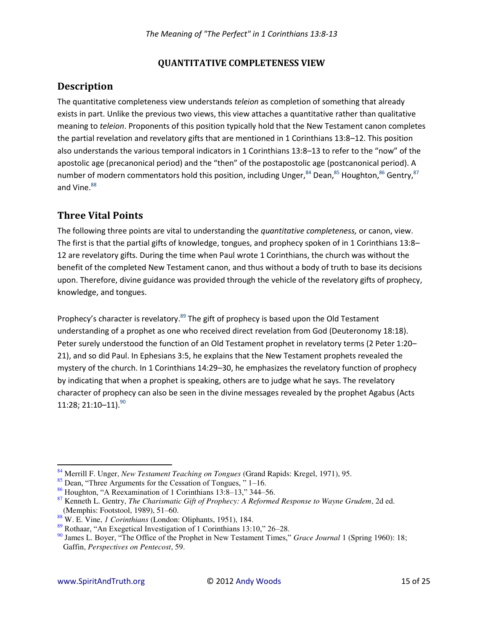## **QUANTITATIVE COMPLETENESS VIEW**

# **Description**

The quantitative completeness view understands *teleion* as completion of something that already exists in part. Unlike the previous two views, this view attaches a quantitative rather than qualitative meaning to *teleion*. Proponents of this position typically hold that the New Testament canon completes the partial revelation and revelatory gifts that are mentioned in 1 Corinthians 13:8–12. This position also understands the various temporal indicators in 1 Corinthians 13:8–13 to refer to the "now" of the apostolic age (precanonical period) and the "then" of the postapostolic age (postcanonical period). A number of modern commentators hold this position, including Unger,  $84$  Dean,  $85$  Houghton,  $86$  Gentry,  $87$ and Vine.<sup>88</sup>

# **Three Vital Points**

The following three points are vital to understanding the *quantitative completeness,* or canon, view. The first is that the partial gifts of knowledge, tongues, and prophecy spoken of in 1 Corinthians 13:8– 12 are revelatory gifts. During the time when Paul wrote 1 Corinthians, the church was without the benefit of the completed New Testament canon, and thus without a body of truth to base its decisions upon. Therefore, divine guidance was provided through the vehicle of the revelatory gifts of prophecy, knowledge, and tongues.

Prophecy's character is revelatory.<sup>89</sup> The gift of prophecy is based upon the Old Testament understanding of a prophet as one who received direct revelation from God (Deuteronomy 18:18). Peter surely understood the function of an Old Testament prophet in revelatory terms (2 Peter 1:20– 21), and so did Paul. In Ephesians 3:5, he explains that the New Testament prophets revealed the mystery of the church. In 1 Corinthians 14:29–30, he emphasizes the revelatory function of prophecy by indicating that when a prophet is speaking, others are to judge what he says. The revelatory character of prophecy can also be seen in the divine messages revealed by the prophet Agabus (Acts 11:28; 21:10-11). 90

 $\overline{a}$ <sup>84</sup> Merrill F. Unger, *New Testament Teaching on Tongues* (Grand Rapids: Kregel, 1971), 95.

<sup>85</sup> Dean, "Three Arguments for the Cessation of Tongues, " 1–16.

<sup>86</sup> Houghton, "A Reexamination of 1 Corinthians 13:8–13," 344–56.

<sup>87</sup> Kenneth L. Gentry, *The Charismatic Gift of Prophecy: A Reformed Response to Wayne Grudem*, 2d ed. (Memphis: Footstool, 1989), 51–60.

<sup>88</sup> W. E. Vine, *1 Corinthians* (London: Oliphants, 1951), 184.

<sup>89</sup> Rothaar, "An Exegetical Investigation of 1 Corinthians 13:10," 26–28.

<sup>90</sup> James L. Boyer, "The Office of the Prophet in New Testament Times," *Grace Journal* 1 (Spring 1960): 18; Gaffin, *Perspectives on Pentecost*, 59.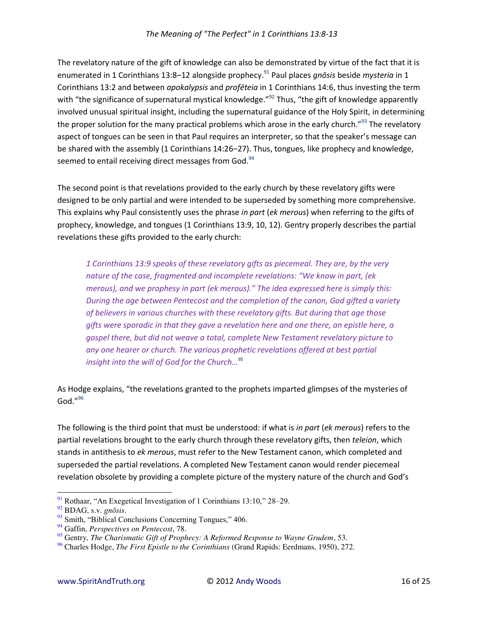#### *The Meaning of "The Perfect" in 1 Corinthians 13:8-13*

The revelatory nature of the gift of knowledge can also be demonstrated by virtue of the fact that it is enumerated in 1 Corinthians 13:8–12 alongside prophecy.<sup>91</sup> Paul places *gnosis* beside *mysteria* in 1 Corinthians 13:2 and between *apokalypsis* and *profēteia* in 1 Corinthians 14:6, thus investing the term with "the significance of supernatural mystical knowledge.<sup>"92</sup> Thus, "the gift of knowledge apparently involved unusual spiritual insight, including the supernatural guidance of the Holy Spirit, in determining the proper solution for the many practical problems which arose in the early church.<sup>193</sup> The revelatory aspect of tongues can be seen in that Paul requires an interpreter, so that the speaker's message can be shared with the assembly (1 Corinthians 14:26–27). Thus, tongues, like prophecy and knowledge, seemed to entail receiving direct messages from God.<sup>94</sup>

The second point is that revelations provided to the early church by these revelatory gifts were designed to be only partial and were intended to be superseded by something more comprehensive. This explains why Paul consistently uses the phrase *in part* (*ek merous*) when referring to the gifts of prophecy, knowledge, and tongues (1 Corinthians 13:9, 10, 12). Gentry properly describes the partial revelations these gifts provided to the early church:

*1 Corinthians 13:9 speaks of these revelatory gifts as piecemeal. They are, by the very nature of the case, fragmented and incomplete revelations: "We know in part, (ek merous), and we prophesy in part (ek merous).*<sup>*"*</sup> The idea expressed here is simply this: *During the age between Pentecost and the completion of the canon, God gifted a variety of believers in various churches with these revelatory gifts. But during that age those gifts were sporadic in that they gave a revelation here and one there, an epistle here, a gospel there, but did not weave a total, complete New Testament revelatory picture to*  any one hearer or church. The various prophetic revelations offered at best partial *insight into the will of God for the Church...*<sup>95</sup>

As Hodge explains, "the revelations granted to the prophets imparted glimpses of the mysteries of God. $^{\prime\prime96}$ 

The following is the third point that must be understood: if what is *in part* (*ek merous*) refers to the partial revelations brought to the early church through these revelatory gifts, then *teleion*, which stands in antithesis to *ek merous*, must refer to the New Testament canon, which completed and superseded the partial revelations. A completed New Testament canon would render piecemeal revelation obsolete by providing a complete picture of the mystery nature of the church and God's

l

<sup>91</sup> Rothaar, "An Exegetical Investigation of 1 Corinthians 13:10," 28–29.

<sup>92</sup> BDAG, s.v. *gnōsis*.

<sup>&</sup>lt;sup>93</sup> Smith, "Biblical Conclusions Concerning Tongues," 406.

<sup>94</sup> Gaffin, *Perspectives on Pentecost*, 78.

<sup>95</sup> Gentry, *The Charismatic Gift of Prophecy: A Reformed Response to Wayne Grudem*, 53.

<sup>96</sup> Charles Hodge, *The First Epistle to the Corinthians* (Grand Rapids: Eerdmans, 1950), 272.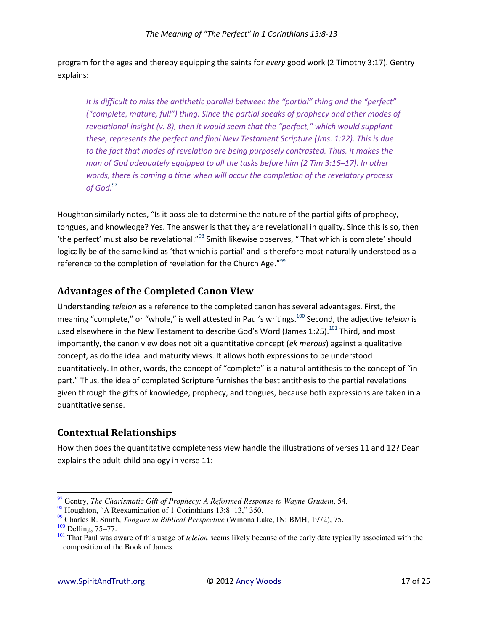program for the ages and thereby equipping the saints for every good work (2 Timothy 3:17). Gentry explains:

It is difficult to miss the antithetic parallel between the "partial" thing and the "perfect" ("complete, mature, full") thing. Since the partial speaks of prophecy and other modes of revelational insight (v. 8), then it would seem that the "perfect," which would supplant these, represents the perfect and final New Testament Scripture (Jms. 1:22). This is due to the fact that modes of revelation are being purposely contrasted. Thus, it makes the man of God adequately equipped to all the tasks before him (2 Tim 3:16-17). In other words, there is coming a time when will occur the completion of the revelatory process of God. $97$ 

Houghton similarly notes, "Is it possible to determine the nature of the partial gifts of prophecy, tongues, and knowledge? Yes. The answer is that they are revelational in quality. Since this is so, then 'the perfect' must also be revelational."<sup>98</sup> Smith likewise observes, "That which is complete' should logically be of the same kind as 'that which is partial' and is therefore most naturally understood as a reference to the completion of revelation for the Church Age."<sup>99</sup>

# **Advantages of the Completed Canon View**

Understanding teleion as a reference to the completed canon has several advantages. First, the meaning "complete," or "whole," is well attested in Paul's writings.<sup>100</sup> Second, the adjective teleion is used elsewhere in the New Testament to describe God's Word (James 1:25).<sup>101</sup> Third, and most importantly, the canon view does not pit a quantitative concept (ek merous) against a qualitative concept, as do the ideal and maturity views. It allows both expressions to be understood quantitatively. In other, words, the concept of "complete" is a natural antithesis to the concept of "in part." Thus, the idea of completed Scripture furnishes the best antithesis to the partial revelations given through the gifts of knowledge, prophecy, and tongues, because both expressions are taken in a quantitative sense.

# **Contextual Relationships**

How then does the quantitative completeness view handle the illustrations of verses 11 and 12? Dean explains the adult-child analogy in verse 11:

 $\frac{97}{97}$  Gentry, The Charismatic Gift of Prophecy: A Reformed Response to Wayne Grudem, 54.

<sup>&</sup>lt;sup>98</sup> Houghton, "A Reexamination of 1 Corinthians 13:8-13," 350.

 $99$  Charles R. Smith, *Tongues in Biblical Perspective* (Winona Lake, IN: BMH, 1972), 75.

 $100$  Delling, 75-77.

<sup>&</sup>lt;sup>101</sup> That Paul was aware of this usage of *teleion* seems likely because of the early date typically associated with the composition of the Book of James.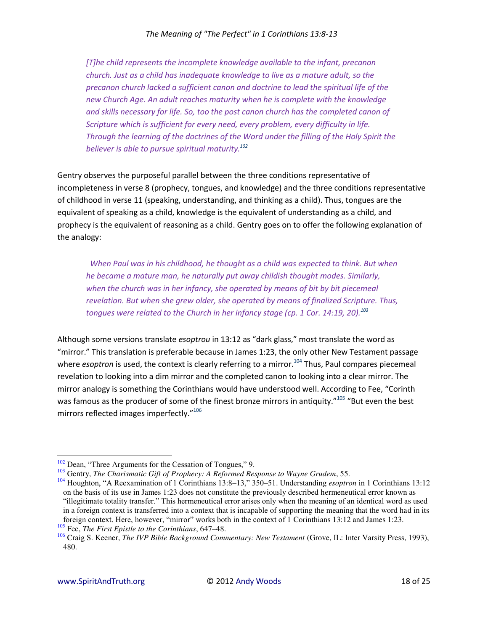[T]he child represents the incomplete knowledge available to the infant, precanon church. Just as a child has inadequate knowledge to live as a mature adult, so the precanon church lacked a sufficient canon and doctrine to lead the spiritual life of the new Church Age. An adult reaches maturity when he is complete with the knowledge and skills necessary for life. So, too the post canon church has the completed canon of Scripture which is sufficient for every need, every problem, every difficulty in life. Through the learning of the doctrines of the Word under the filling of the Holy Spirit the believer is able to pursue spiritual maturity.<sup>102</sup>

Gentry observes the purposeful parallel between the three conditions representative of incompleteness in verse 8 (prophecy, tongues, and knowledge) and the three conditions representative of childhood in verse 11 (speaking, understanding, and thinking as a child). Thus, tongues are the equivalent of speaking as a child, knowledge is the equivalent of understanding as a child, and prophecy is the equivalent of reasoning as a child. Gentry goes on to offer the following explanation of the analogy:

When Paul was in his childhood, he thought as a child was expected to think. But when he became a mature man, he naturally put away childish thought modes. Similarly, when the church was in her infancy, she operated by means of bit by bit piecemeal revelation. But when she grew older, she operated by means of finalized Scripture. Thus, tongues were related to the Church in her infancy stage (cp. 1 Cor. 14:19, 20).<sup>103</sup>

Although some versions translate esoptrou in 13:12 as "dark glass," most translate the word as "mirror." This translation is preferable because in James 1:23, the only other New Testament passage where esoptron is used, the context is clearly referring to a mirror.<sup>104</sup> Thus, Paul compares piecemeal revelation to looking into a dim mirror and the completed canon to looking into a clear mirror. The mirror analogy is something the Corinthians would have understood well. According to Fee, "Corinth was famous as the producer of some of the finest bronze mirrors in antiquity."105 "But even the best mirrors reflected images imperfectly."106

 $102$  Dean, "Three Arguments for the Cessation of Tongues," 9.

<sup>&</sup>lt;sup>103</sup> Gentry, The Charismatic Gift of Prophecy: A Reformed Response to Wayne Grudem, 55.

<sup>&</sup>lt;sup>104</sup> Houghton, "A Reexamination of 1 Corinthians 13:8-13," 350-51. Understanding *esoptron* in 1 Corinthians 13:12 on the basis of its use in James 1:23 does not constitute the previously described hermeneutical error known as "illegitimate totality transfer." This hermeneutical error arises only when the meaning of an identical word as used in a foreign context is transferred into a context that is incapable of supporting the meaning that the word had in its foreign context. Here, however, "mirror" works both in the context of 1 Corinthians 13:12 and James 1:23.

<sup>&</sup>lt;sup>105</sup> Fee, *The First Epistle to the Corinthians*, 647–48.

<sup>&</sup>lt;sup>106</sup> Craig S. Keener, *The IVP Bible Background Commentary: New Testament* (Grove, IL: Inter Varsity Press, 1993), 480.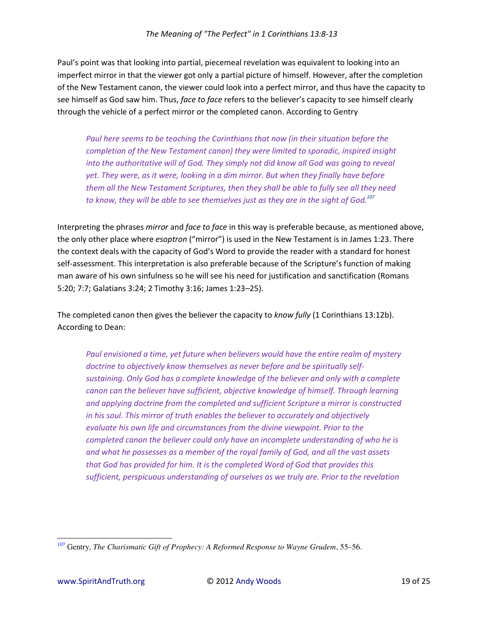Paul's point was that looking into partial, piecemeal revelation was equivalent to looking into an imperfect mirror in that the viewer got only a partial picture of himself. However, after the completion of the New Testament canon, the viewer could look into a perfect mirror, and thus have the capacity to see himself as God saw him. Thus, face to face refers to the believer's capacity to see himself clearly through the vehicle of a perfect mirror or the completed canon. According to Gentry

Paul here seems to be teaching the Corinthians that now (in their situation before the completion of the New Testament canon) they were limited to sporadic, inspired insight into the authoritative will of God. They simply not did know all God was going to reveal yet. They were, as it were, looking in a dim mirror. But when they finally have before them all the New Testament Scriptures, then they shall be able to fully see all they need to know, they will be able to see themselves just as they are in the sight of God.<sup>107</sup>

Interpreting the phrases *mirror* and *face to face* in this way is preferable because, as mentioned above, the only other place where *esoptron* ("mirror") is used in the New Testament is in James 1:23. There the context deals with the capacity of God's Word to provide the reader with a standard for honest self-assessment. This interpretation is also preferable because of the Scripture's function of making man aware of his own sinfulness so he will see his need for justification and sanctification (Romans 5:20; 7:7; Galatians 3:24; 2 Timothy 3:16; James 1:23-25).

The completed canon then gives the believer the capacity to know fully (1 Corinthians 13:12b). **According to Dean:** 

Paul envisioned a time, yet future when believers would have the entire realm of mystery doctrine to objectively know themselves as never before and be spiritually selfsustaining. Only God has a complete knowledge of the believer and only with a complete canon can the believer have sufficient, objective knowledge of himself. Through learning and applying doctrine from the completed and sufficient Scripture a mirror is constructed in his soul. This mirror of truth enables the believer to accurately and objectively evaluate his own life and circumstances from the divine viewpoint. Prior to the completed canon the believer could only have an incomplete understanding of who he is and what he possesses as a member of the royal family of God, and all the vast assets that God has provided for him. It is the completed Word of God that provides this sufficient, perspicuous understanding of ourselves as we truly are. Prior to the revelation

<sup>&</sup>lt;sup>107</sup> Gentry, The Charismatic Gift of Prophecy: A Reformed Response to Wayne Grudem, 55-56.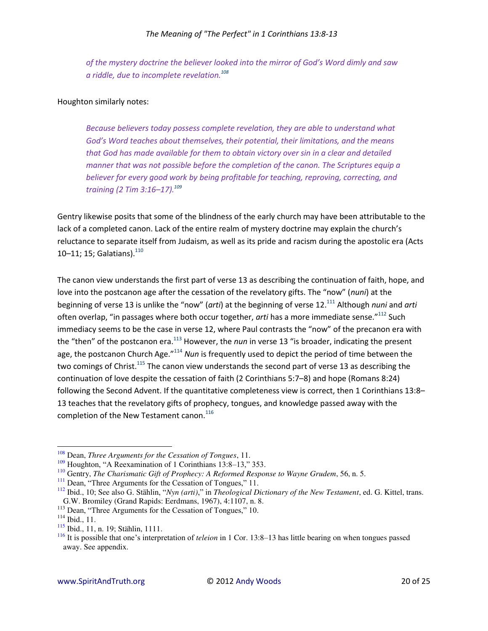of the mystery doctrine the believer looked into the mirror of God's Word dimly and saw a riddle, due to incomplete revelation.<sup>108</sup>

#### Houghton similarly notes:

Because believers today possess complete revelation, they are able to understand what God's Word teaches about themselves, their potential, their limitations, and the means that God has made available for them to obtain victory over sin in a clear and detailed manner that was not possible before the completion of the canon. The Scriptures equip a believer for every good work by being profitable for teaching, reproving, correcting, and training (2 Tim  $3:16-17$ ).<sup>109</sup>

Gentry likewise posits that some of the blindness of the early church may have been attributable to the lack of a completed canon. Lack of the entire realm of mystery doctrine may explain the church's reluctance to separate itself from Judaism, as well as its pride and racism during the apostolic era (Acts 10-11; 15; Galatians).  $^{110}$ 

The canon view understands the first part of verse 13 as describing the continuation of faith, hope, and love into the postcanon age after the cessation of the revelatory gifts. The "now" (nuni) at the beginning of verse 13 is unlike the "now" (arti) at the beginning of verse  $12.^{111}$  Although nuni and arti often overlap, "in passages where both occur together, *arti* has a more immediate sense."<sup>112</sup> Such immediacy seems to be the case in verse 12, where Paul contrasts the "now" of the precanon era with the "then" of the postcanon era.<sup>113</sup> However, the *nun* in verse 13 "is broader, indicating the present age, the postcanon Church Age."<sup>114</sup> Nun is frequently used to depict the period of time between the two comings of Christ.<sup>115</sup> The canon view understands the second part of verse 13 as describing the continuation of love despite the cessation of faith (2 Corinthians 5:7-8) and hope (Romans 8:24) following the Second Advent. If the quantitative completeness view is correct, then 1 Corinthians 13:8-13 teaches that the revelatory gifts of prophecy, tongues, and knowledge passed away with the completion of the New Testament canon.<sup>116</sup>

 $108$  Dean, Three Arguments for the Cessation of Tongues, 11.

 $109$  Houghton, "A Reexamination of 1 Corinthians 13:8–13," 353.

 $110$  Gentry, The Charismatic Gift of Prophecy: A Reformed Response to Wayne Grudem, 56, n. 5.

<sup>&</sup>lt;sup>111</sup> Dean, "Three Arguments for the Cessation of Tongues," 11.

<sup>&</sup>lt;sup>112</sup> Ibid., 10; See also G. Stählin, "Nyn (arti)," in Theological Dictionary of the New Testament, ed. G. Kittel, trans. G.W. Bromiley (Grand Rapids: Eerdmans, 1967), 4:1107, n. 8.

<sup>&</sup>lt;sup>113</sup> Dean, "Three Arguments for the Cessation of Tongues," 10.

 $114$  Ibid., 11.

<sup>&</sup>lt;sup>115</sup> Ibid., 11, n. 19; Stählin, 1111.

<sup>&</sup>lt;sup>116</sup> It is possible that one's interpretation of *teleion* in 1 Cor. 13:8–13 has little bearing on when tongues passed away. See appendix.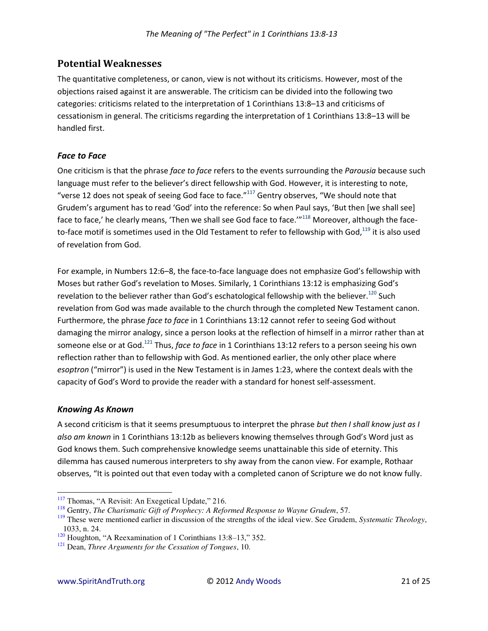## **Potential Weaknesses**

The quantitative completeness, or canon, view is not without its criticisms. However, most of the objections raised against it are answerable. The criticism can be divided into the following two categories: criticisms related to the interpretation of 1 Corinthians 13:8-13 and criticisms of cessationism in general. The criticisms regarding the interpretation of 1 Corinthians 13:8-13 will be handled first.

### **Face to Face**

One criticism is that the phrase face to face refers to the events surrounding the Parousia because such language must refer to the believer's direct fellowship with God. However, it is interesting to note, "verse 12 does not speak of seeing God face to face."<sup>117</sup> Gentry observes, "We should note that Grudem's argument has to read 'God' into the reference: So when Paul says, 'But then [we shall see] face to face,' he clearly means, 'Then we shall see God face to face.""<sup>118</sup> Moreover, although the faceto-face motif is sometimes used in the Old Testament to refer to fellowship with God,<sup>119</sup> it is also used of revelation from God.

For example, in Numbers 12:6-8, the face-to-face language does not emphasize God's fellowship with Moses but rather God's revelation to Moses. Similarly, 1 Corinthians 13:12 is emphasizing God's revelation to the believer rather than God's eschatological fellowship with the believer.<sup>120</sup> Such revelation from God was made available to the church through the completed New Testament canon. Furthermore, the phrase face to face in 1 Corinthians 13:12 cannot refer to seeing God without damaging the mirror analogy, since a person looks at the reflection of himself in a mirror rather than at someone else or at God.<sup>121</sup> Thus, *face to face* in 1 Corinthians 13:12 refers to a person seeing his own reflection rather than to fellowship with God. As mentioned earlier, the only other place where esoptron ("mirror") is used in the New Testament is in James 1:23, where the context deals with the capacity of God's Word to provide the reader with a standard for honest self-assessment.

#### **Knowing As Known**

A second criticism is that it seems presumptuous to interpret the phrase but then I shall know just as I also am known in 1 Corinthians 13:12b as believers knowing themselves through God's Word just as God knows them. Such comprehensive knowledge seems unattainable this side of eternity. This dilemma has caused numerous interpreters to shy away from the canon view. For example, Rothaar observes, "It is pointed out that even today with a completed canon of Scripture we do not know fully.

 $117$  Thomas, "A Revisit: An Exegetical Update," 216.

 $118$  Gentry, The Charismatic Gift of Prophecy: A Reformed Response to Wayne Grudem, 57.

 $119$  These were mentioned earlier in discussion of the strengths of the ideal view. See Grudem, Systematic Theology, 1033, n. 24.

<sup>&</sup>lt;sup>120</sup> Houghton, "A Reexamination of 1 Corinthians 13:8-13," 352.

 $121$  Dean, Three Arguments for the Cessation of Tongues, 10.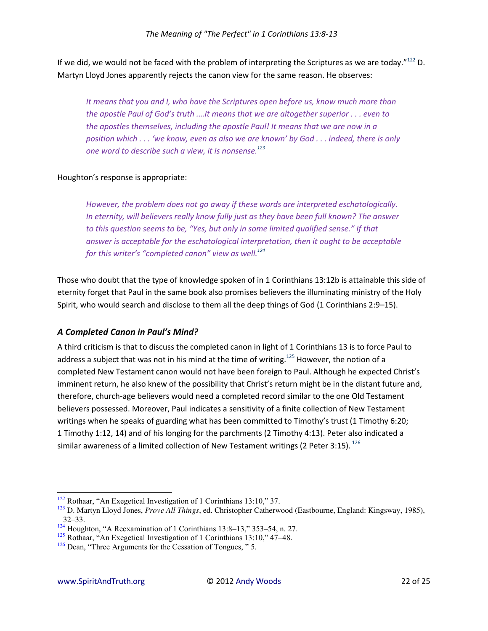If we did, we would not be faced with the problem of interpreting the Scriptures as we are today. $122$  D. Martyn Lloyd Jones apparently rejects the canon view for the same reason. He observes:

It means that you and I, who have the Scriptures open before us, know much more than the apostle Paul of God's truth ....It means that we are altogether superior . . . even to the apostles themselves, including the apostle Paul! It means that we are now in a position which . . . 'we know, even as also we are known' by God . . . indeed, there is only one word to describe such a view, it is nonsense.<sup>123</sup>

#### Houghton's response is appropriate:

However, the problem does not go away if these words are interpreted eschatologically. In eternity, will believers really know fully just as they have been full known? The answer to this question seems to be, "Yes, but only in some limited qualified sense." If that answer is acceptable for the eschatological interpretation, then it ought to be acceptable for this writer's "completed canon" view as well.<sup>124</sup>

Those who doubt that the type of knowledge spoken of in 1 Corinthians 13:12b is attainable this side of eternity forget that Paul in the same book also promises believers the illuminating ministry of the Holy Spirit, who would search and disclose to them all the deep things of God (1 Corinthians 2:9–15).

#### A Completed Canon in Paul's Mind?

A third criticism is that to discuss the completed canon in light of 1 Corinthians 13 is to force Paul to address a subject that was not in his mind at the time of writing.<sup>125</sup> However, the notion of a completed New Testament canon would not have been foreign to Paul. Although he expected Christ's imminent return, he also knew of the possibility that Christ's return might be in the distant future and, therefore, church-age believers would need a completed record similar to the one Old Testament believers possessed. Moreover, Paul indicates a sensitivity of a finite collection of New Testament writings when he speaks of guarding what has been committed to Timothy's trust (1 Timothy 6:20; 1 Timothy 1:12, 14) and of his longing for the parchments (2 Timothy 4:13). Peter also indicated a similar awareness of a limited collection of New Testament writings (2 Peter 3:15). <sup>126</sup>

 $122$  Rothaar, "An Exegetical Investigation of 1 Corinthians 13:10," 37.

<sup>&</sup>lt;sup>123</sup> D. Martyn Lloyd Jones, Prove All Things, ed. Christopher Catherwood (Eastbourne, England: Kingsway, 1985),  $32 - 33.$ 

 $124$  Houghton, "A Reexamination of 1 Corinthians 13:8-13," 353-54, n. 27.

<sup>&</sup>lt;sup>125</sup> Rothaar, "An Exegetical Investigation of 1 Corinthians 13:10," 47-48.

 $126$  Dean, "Three Arguments for the Cessation of Tongues, " 5.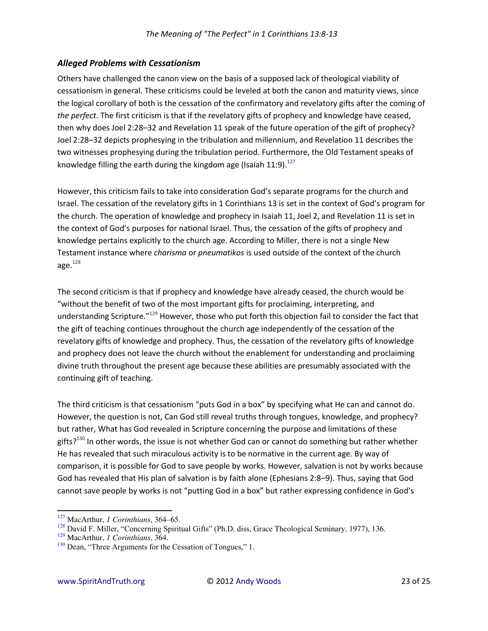### *Alleged Problems with Cessationism*

Others have challenged the canon view on the basis of a supposed lack of theological viability of cessationism in general. These criticisms could be leveled at both the canon and maturity views, since the logical corollary of both is the cessation of the confirmatory and revelatory gifts after the coming of *the perfect*. The first criticism is that if the revelatory gifts of prophecy and knowledge have ceased, then why does Joel 2:28–32 and Revelation 11 speak of the future operation of the gift of prophecy? Joel 2:28–32 depicts prophesying in the tribulation and millennium, and Revelation 11 describes the two witnesses prophesying during the tribulation period. Furthermore, the Old Testament speaks of knowledge filling the earth during the kingdom age (Isaiah 11:9).<sup>127</sup>

However, this criticism fails to take into consideration God's separate programs for the church and Israel. The cessation of the revelatory gifts in 1 Corinthians 13 is set in the context of God's program for the church. The operation of knowledge and prophecy in Isaiah 11, Joel 2, and Revelation 11 is set in the context of God's purposes for national Israel. Thus, the cessation of the gifts of prophecy and knowledge pertains explicitly to the church age. According to Miller, there is not a single New Testament instance where *charisma* or *pneumatikos* is used outside of the context of the church age. $128$ 

The second criticism is that if prophecy and knowledge have already ceased, the church would be "without the benefit of two of the most important gifts for proclaiming, interpreting, and understanding Scripture.<sup>n129</sup> However, those who put forth this objection fail to consider the fact that the gift of teaching continues throughout the church age independently of the cessation of the revelatory gifts of knowledge and prophecy. Thus, the cessation of the revelatory gifts of knowledge and prophecy does not leave the church without the enablement for understanding and proclaiming divine truth throughout the present age because these abilities are presumably associated with the continuing gift of teaching.

The third criticism is that cessationism "puts God in a box" by specifying what He can and cannot do. However, the question is not, Can God still reveal truths through tongues, knowledge, and prophecy? but rather, What has God revealed in Scripture concerning the purpose and limitations of these gifts?<sup>130</sup> In other words, the issue is not whether God can or cannot do something but rather whether He has revealed that such miraculous activity is to be normative in the current age. By way of comparison, it is possible for God to save people by works. However, salvation is not by works because God has revealed that His plan of salvation is by faith alone (Ephesians 2:8–9). Thus, saying that God cannot save people by works is not "putting God in a box" but rather expressing confidence in God's

 $\overline{a}$ 

<sup>127</sup> MacArthur, *1 Corinthians*, 364–65.

<sup>&</sup>lt;sup>128</sup> David F. Miller, "Concerning Spiritual Gifts" (Ph.D. diss, Grace Theological Seminary, 1977), 136.

<sup>129</sup> MacArthur, *1 Corinthians*, 364.

<sup>&</sup>lt;sup>130</sup> Dean, "Three Arguments for the Cessation of Tongues," 1.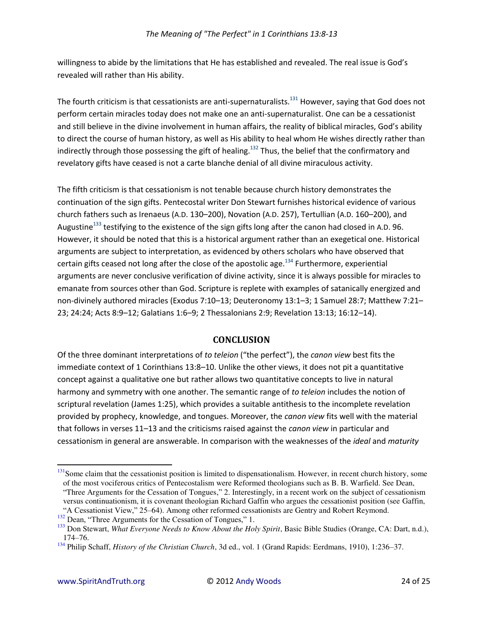willingness to abide by the limitations that He has established and revealed. The real issue is God's revealed will rather than His ability.

The fourth criticism is that cessationists are anti-supernaturalists.<sup>131</sup> However, saying that God does not perform certain miracles today does not make one an anti-supernaturalist. One can be a cessationist and still believe in the divine involvement in human affairs, the reality of biblical miracles, God's ability to direct the course of human history, as well as His ability to heal whom He wishes directly rather than indirectly through those possessing the gift of healing.<sup>132</sup> Thus, the belief that the confirmatory and revelatory gifts have ceased is not a carte blanche denial of all divine miraculous activity.

The fifth criticism is that cessationism is not tenable because church history demonstrates the continuation of the sign gifts. Pentecostal writer Don Stewart furnishes historical evidence of various church fathers such as Irenaeus (A.D. 130-200), Novation (A.D. 257), Tertullian (A.D. 160-200), and Augustine<sup>133</sup> testifying to the existence of the sign gifts long after the canon had closed in A.D. 96. However, it should be noted that this is a historical argument rather than an exegetical one. Historical arguments are subject to interpretation, as evidenced by others scholars who have observed that certain gifts ceased not long after the close of the apostolic age.<sup>134</sup> Furthermore, experiential arguments are never conclusive verification of divine activity, since it is always possible for miracles to emanate from sources other than God. Scripture is replete with examples of satanically energized and non-divinely authored miracles (Exodus 7:10-13; Deuteronomy 13:1-3; 1 Samuel 28:7; Matthew 7:21-23; 24:24; Acts 8:9-12; Galatians 1:6-9; 2 Thessalonians 2:9; Revelation 13:13; 16:12-14).

#### **CONCLUSION**

Of the three dominant interpretations of to teleion ("the perfect"), the canon view best fits the immediate context of 1 Corinthians 13:8-10. Unlike the other views, it does not pit a quantitative concept against a qualitative one but rather allows two quantitative concepts to live in natural harmony and symmetry with one another. The semantic range of to teleion includes the notion of scriptural revelation (James 1:25), which provides a suitable antithesis to the incomplete revelation provided by prophecy, knowledge, and tongues. Moreover, the canon view fits well with the material that follows in verses 11-13 and the criticisms raised against the canon view in particular and cessationism in general are answerable. In comparison with the weaknesses of the *ideal* and *maturity* 

<sup>&</sup>lt;sup>131</sup>Some claim that the cessationist position is limited to dispensationalism. However, in recent church history, some of the most vociferous critics of Pentecostalism were Reformed theologians such as B. B. Warfield. See Dean, "Three Arguments for the Cessation of Tongues," 2. Interestingly, in a recent work on the subject of cessationism versus continuationism, it is covenant theologian Richard Gaffin who argues the cessationist position (see Gaffin,

<sup>&</sup>quot;A Cessationist View," 25–64). Among other reformed cessationists are Gentry and Robert Reymond.

<sup>&</sup>lt;sup>132</sup> Dean, "Three Arguments for the Cessation of Tongues," 1.

<sup>&</sup>lt;sup>133</sup> Don Stewart, What Everyone Needs to Know About the Holy Spirit, Basic Bible Studies (Orange, CA: Dart, n.d.), 174-76.

<sup>&</sup>lt;sup>134</sup> Philip Schaff, *History of the Christian Church*, 3d ed., vol. 1 (Grand Rapids: Eerdmans, 1910), 1:236–37.